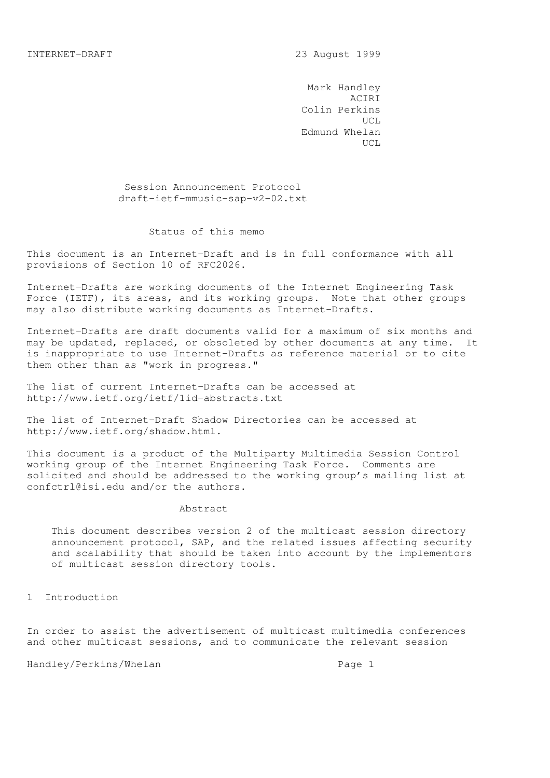Mark Handley ACIRI Colin Perkins UCL Edmund Whelan UCL

> Session Announcement Protocol draft-ietf-mmusic-sap-v2-02.txt

## Status of this memo

This document is an Internet-Draft and is in full conformance with all provisions of Section 10 of RFC2026.

Internet-Drafts are working documents of the Internet Engineering Task Force (IETF), its areas, and its working groups. Note that other groups may also distribute working documents as Internet-Drafts.

Internet-Drafts are draft documents valid for a maximum of six months and may be updated, replaced, or obsoleted by other documents at any time. It is inappropriate to use Internet-Drafts as reference material or to cite them other than as "work in progress."

The list of current Internet-Drafts can be accessed at http://www.ietf.org/ietf/1id-abstracts.txt

The list of Internet-Draft Shadow Directories can be accessed at http://www.ietf.org/shadow.html.

This document is a product of the Multiparty Multimedia Session Control working group of the Internet Engineering Task Force. Comments are solicited and should be addressed to the working group's mailing list at confctrl@isi.edu and/or the authors.

#### Abstract

 This document describes version 2 of the multicast session directory announcement protocol, SAP, and the related issues affecting security and scalability that should be taken into account by the implementors of multicast session directory tools.

1 Introduction

In order to assist the advertisement of multicast multimedia conferences and other multicast sessions, and to communicate the relevant session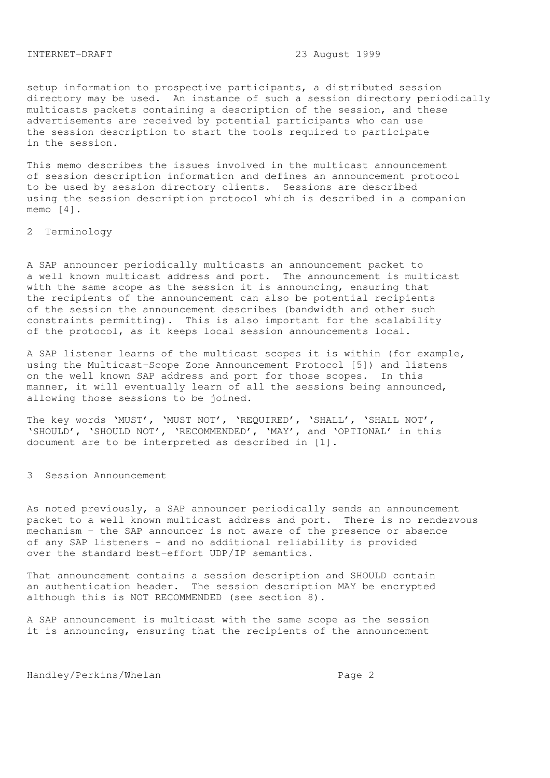setup information to prospective participants, a distributed session directory may be used. An instance of such a session directory periodically multicasts packets containing a description of the session, and these advertisements are received by potential participants who can use the session description to start the tools required to participate in the session.

This memo describes the issues involved in the multicast announcement of session description information and defines an announcement protocol to be used by session directory clients. Sessions are described using the session description protocol which is described in a companion memo [4].

2 Terminology

A SAP announcer periodically multicasts an announcement packet to a well known multicast address and port. The announcement is multicast with the same scope as the session it is announcing, ensuring that the recipients of the announcement can also be potential recipients of the session the announcement describes (bandwidth and other such constraints permitting). This is also important for the scalability of the protocol, as it keeps local session announcements local.

A SAP listener learns of the multicast scopes it is within (for example, using the Multicast-Scope Zone Announcement Protocol [5]) and listens on the well known SAP address and port for those scopes. In this manner, it will eventually learn of all the sessions being announced, allowing those sessions to be joined.

The key words 'MUST', 'MUST NOT', 'REQUIRED', 'SHALL', 'SHALL NOT', 'SHOULD', 'SHOULD NOT', 'RECOMMENDED', 'MAY', and 'OPTIONAL' in this document are to be interpreted as described in [1].

3 Session Announcement

As noted previously, a SAP announcer periodically sends an announcement packet to a well known multicast address and port. There is no rendezvous mechanism - the SAP announcer is not aware of the presence or absence of any SAP listeners - and no additional reliability is provided over the standard best-effort UDP/IP semantics.

That announcement contains a session description and SHOULD contain an authentication header. The session description MAY be encrypted although this is NOT RECOMMENDED (see section 8).

A SAP announcement is multicast with the same scope as the session it is announcing, ensuring that the recipients of the announcement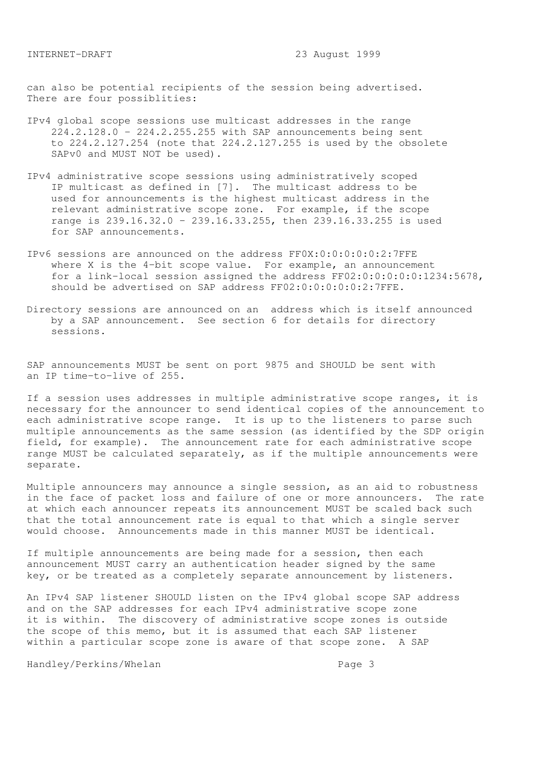can also be potential recipients of the session being advertised. There are four possiblities:

- IPv4 global scope sessions use multicast addresses in the range 224.2.128.0 - 224.2.255.255 with SAP announcements being sent to 224.2.127.254 (note that 224.2.127.255 is used by the obsolete SAPv0 and MUST NOT be used).
- IPv4 administrative scope sessions using administratively scoped IP multicast as defined in [7]. The multicast address to be used for announcements is the highest multicast address in the relevant administrative scope zone. For example, if the scope range is 239.16.32.0 - 239.16.33.255, then 239.16.33.255 is used for SAP announcements.
- IPv6 sessions are announced on the address FF0X:0:0:0:0:0:2:7FFE where X is the 4-bit scope value. For example, an announcement for a link-local session assigned the address FF02:0:0:0:0:0:1234:5678, should be advertised on SAP address FF02:0:0:0:0:0:2:7FFE.
- Directory sessions are announced on an address which is itself announced by a SAP announcement. See section 6 for details for directory sessions.

SAP announcements MUST be sent on port 9875 and SHOULD be sent with an IP time-to-live of 255.

If a session uses addresses in multiple administrative scope ranges, it is necessary for the announcer to send identical copies of the announcement to each administrative scope range. It is up to the listeners to parse such multiple announcements as the same session (as identified by the SDP origin field, for example). The announcement rate for each administrative scope range MUST be calculated separately, as if the multiple announcements were separate.

Multiple announcers may announce a single session, as an aid to robustness in the face of packet loss and failure of one or more announcers. The rate at which each announcer repeats its announcement MUST be scaled back such that the total announcement rate is equal to that which a single server would choose. Announcements made in this manner MUST be identical.

If multiple announcements are being made for a session, then each announcement MUST carry an authentication header signed by the same key, or be treated as a completely separate announcement by listeners.

An IPv4 SAP listener SHOULD listen on the IPv4 global scope SAP address and on the SAP addresses for each IPv4 administrative scope zone it is within. The discovery of administrative scope zones is outside the scope of this memo, but it is assumed that each SAP listener within a particular scope zone is aware of that scope zone. A SAP

Handley/Perkins/Whelan extended the Page 3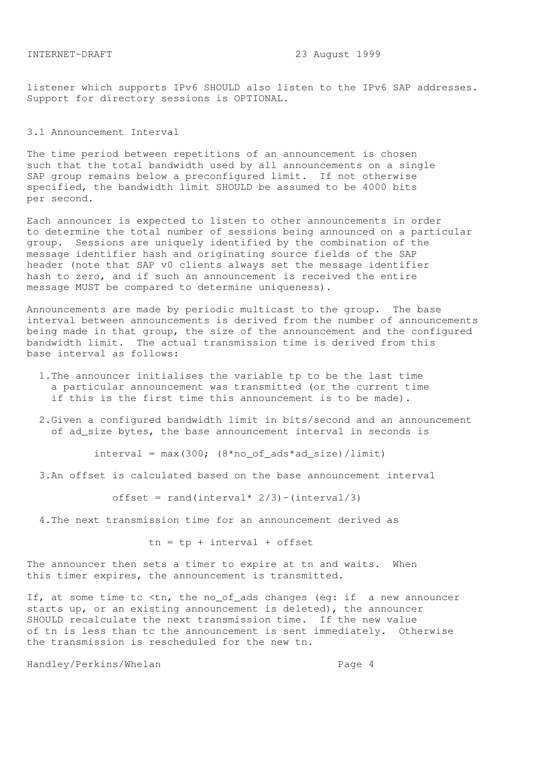listener which supports IPv6 SHOULD also listen to the IPv6 SAP addresses. Support for directory sessions is OPTIONAL.

### 3.1 Announcement Interval

The time period between repetitions of an announcement is chosen such that the total bandwidth used by all announcements on a single SAP group remains below a preconfigured limit. If not otherwise specified, the bandwidth limit SHOULD be assumed to be 4000 bits per second.

Each announcer is expected to listen to other announcements in order to determine the total number of sessions being announced on a particular group. Sessions are uniquely identified by the combination of the message identifier hash and originating source fields of the SAP header (note that SAP v0 clients always set the message identifier hash to zero, and if such an announcement is received the entire message MUST be compared to determine uniqueness).

Announcements are made by periodic multicast to the group. The base interval between announcements is derived from the number of announcements being made in that group, the size of the announcement and the configured bandwidth limit. The actual transmission time is derived from this base interval as follows:

- 1.The announcer initialises the variable tp to be the last time a particular announcement was transmitted (or the current time if this is the first time this announcement is to be made).
- 2.Given a configured bandwidth limit in bits/second and an announcement of ad\_size bytes, the base announcement interval in seconds is

 $interval = max(300; (8*no_of_ads*ad_size)/limit)$ 

3.An offset is calculated based on the base announcement interval

offset =  $rand(interval * 2/3) - (interval/3)$ 

4.The next transmission time for an announcement derived as

 $tn = tp + interval + offset$ 

The announcer then sets a timer to expire at tn and waits. When this timer expires, the announcement is transmitted.

If, at some time tc <tn, the no\_of\_ads changes (eg: if a new announcer starts up, or an existing announcement is deleted), the announcer SHOULD recalculate the next transmission time. If the new value of tn is less than tc the announcement is sent immediately. Otherwise the transmission is rescheduled for the new tn.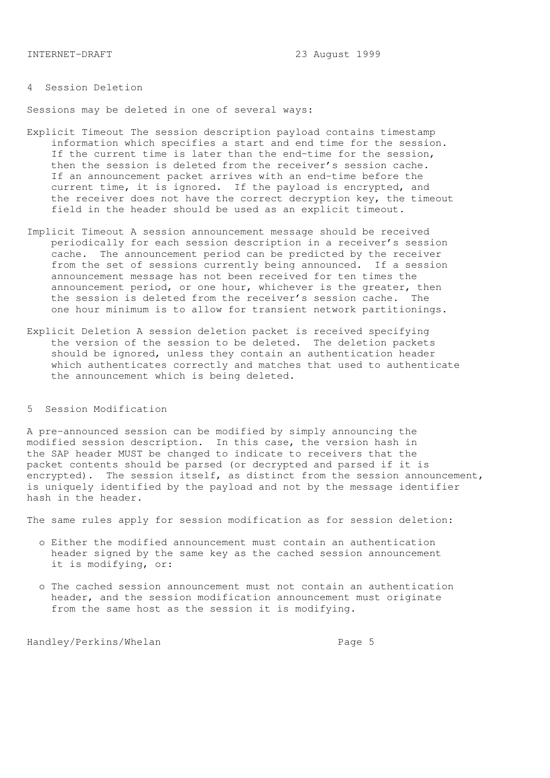# 4 Session Deletion

Sessions may be deleted in one of several ways:

- Explicit Timeout The session description payload contains timestamp information which specifies a start and end time for the session. If the current time is later than the end-time for the session, then the session is deleted from the receiver's session cache. If an announcement packet arrives with an end-time before the current time, it is ignored. If the payload is encrypted, and the receiver does not have the correct decryption key, the timeout field in the header should be used as an explicit timeout.
- Implicit Timeout A session announcement message should be received periodically for each session description in a receiver's session cache. The announcement period can be predicted by the receiver from the set of sessions currently being announced. If a session announcement message has not been received for ten times the announcement period, or one hour, whichever is the greater, then the session is deleted from the receiver's session cache. The one hour minimum is to allow for transient network partitionings.
- Explicit Deletion A session deletion packet is received specifying the version of the session to be deleted. The deletion packets should be ignored, unless they contain an authentication header which authenticates correctly and matches that used to authenticate the announcement which is being deleted.

## 5 Session Modification

A pre-announced session can be modified by simply announcing the modified session description. In this case, the version hash in the SAP header MUST be changed to indicate to receivers that the packet contents should be parsed (or decrypted and parsed if it is encrypted). The session itself, as distinct from the session announcement, is uniquely identified by the payload and not by the message identifier hash in the header.

The same rules apply for session modification as for session deletion:

- o Either the modified announcement must contain an authentication header signed by the same key as the cached session announcement it is modifying, or:
- o The cached session announcement must not contain an authentication header, and the session modification announcement must originate from the same host as the session it is modifying.

Handley/Perkins/Whelan extended to the Page 5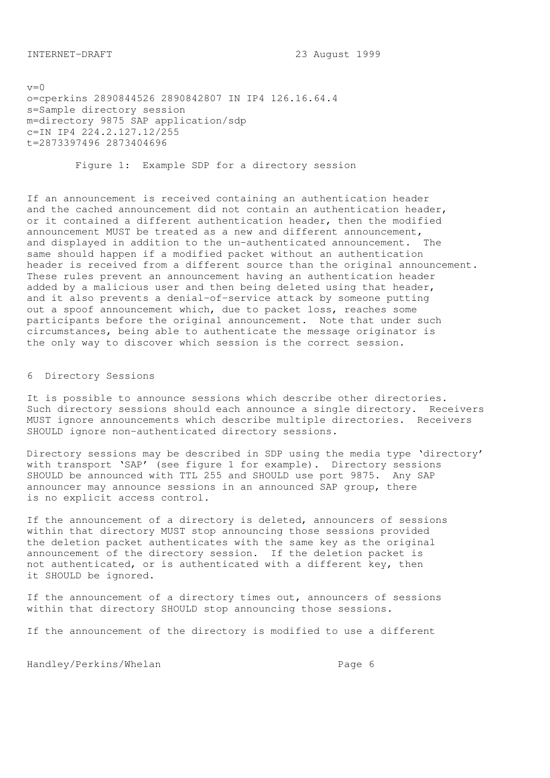$v=0$ o=cperkins 2890844526 2890842807 IN IP4 126.16.64.4 s=Sample directory session m=directory 9875 SAP application/sdp c=IN IP4 224.2.127.12/255 t=2873397496 2873404696

Figure 1: Example SDP for a directory session

If an announcement is received containing an authentication header and the cached announcement did not contain an authentication header, or it contained a different authentication header, then the modified announcement MUST be treated as a new and different announcement, and displayed in addition to the un-authenticated announcement. The same should happen if a modified packet without an authentication header is received from a different source than the original announcement. These rules prevent an announcement having an authentication header added by a malicious user and then being deleted using that header, and it also prevents a denial-of-service attack by someone putting out a spoof announcement which, due to packet loss, reaches some participants before the original announcement. Note that under such circumstances, being able to authenticate the message originator is the only way to discover which session is the correct session.

6 Directory Sessions

It is possible to announce sessions which describe other directories. Such directory sessions should each announce a single directory. Receivers MUST ignore announcements which describe multiple directories. Receivers SHOULD ignore non-authenticated directory sessions.

Directory sessions may be described in SDP using the media type 'directory' with transport 'SAP' (see figure 1 for example). Directory sessions SHOULD be announced with TTL 255 and SHOULD use port 9875. Any SAP announcer may announce sessions in an announced SAP group, there is no explicit access control.

If the announcement of a directory is deleted, announcers of sessions within that directory MUST stop announcing those sessions provided the deletion packet authenticates with the same key as the original announcement of the directory session. If the deletion packet is not authenticated, or is authenticated with a different key, then it SHOULD be ignored.

If the announcement of a directory times out, announcers of sessions within that directory SHOULD stop announcing those sessions.

If the announcement of the directory is modified to use a different

Handley/Perkins/Whelan extended the Page 6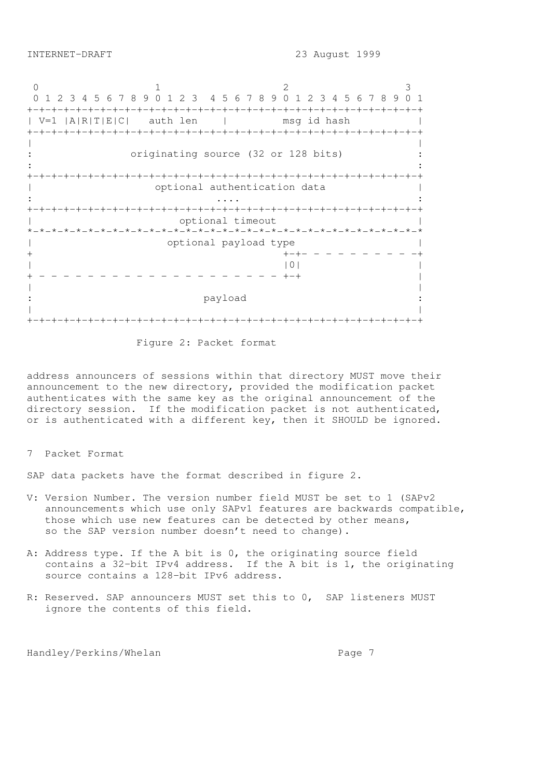0 1 2 3 0 1 2 3 4 5 6 7 8 9 0 1 2 3 4 5 6 7 8 9 0 1 2 3 4 5 6 7 8 9 0 1 +-+-+-+-+-+-+-+-+-+-+-+-+-+-+-+-+-+-+-+-+-+-+-+-+-+-+-+-+-+-+-+-+ | V=1 |A|R|T|E|C| auth len | msg id hash | +-+-+-+-+-+-+-+-+-+-+-+-+-+-+-+-+-+-+-+-+-+-+-+-+-+-+-+-+-+-+-+-+ | | originating source (32 or 128 bits) :  $\mathbf{r} = \mathbf{r} \times \mathbf{r}$  ,  $\mathbf{r} = \mathbf{r} \times \mathbf{r}$  ,  $\mathbf{r} = \mathbf{r} \times \mathbf{r}$  ,  $\mathbf{r} = \mathbf{r} \times \mathbf{r}$  ,  $\mathbf{r} = \mathbf{r} \times \mathbf{r}$  ,  $\mathbf{r} = \mathbf{r} \times \mathbf{r}$  ,  $\mathbf{r} = \mathbf{r} \times \mathbf{r}$  ,  $\mathbf{r} = \mathbf{r} \times \mathbf{r}$  ,  $\mathbf{r} = \mathbf$ +-+-+-+-+-+-+-+-+-+-+-+-+-+-+-+-+-+-+-+-+-+-+-+-+-+-+-+-+-+-+-+-+ | optional authentication data | : .... : +-+-+-+-+-+-+-+-+-+-+-+-+-+-+-+-+-+-+-+-+-+-+-+-+-+-+-+-+-+-+-+-+ optional timeout \*-\*-\*-\*-\*-\*-\*-\*-\*-\*-\*-\*-\*-\*-\*-\*-\*-\*-\*-\*-\*-\*-\*-\*-\*-\*-\*-\*-\*-\*-\*-\*-\* | optional payload type |  $+ - + - - - - - - - - - - +$  $|0|$ + - - - - - - - - - - - - - - - - - - - - +-+ | | | payload | | +-+-+-+-+-+-+-+-+-+-+-+-+-+-+-+-+-+-+-+-+-+-+-+-+-+-+-+-+-+-+-+-+

Figure 2: Packet format

address announcers of sessions within that directory MUST move their announcement to the new directory, provided the modification packet authenticates with the same key as the original announcement of the directory session. If the modification packet is not authenticated, or is authenticated with a different key, then it SHOULD be ignored.

7 Packet Format

SAP data packets have the format described in figure 2.

- V: Version Number. The version number field MUST be set to 1 (SAPv2 announcements which use only SAPv1 features are backwards compatible, those which use new features can be detected by other means, so the SAP version number doesn't need to change).
- A: Address type. If the A bit is 0, the originating source field contains a 32-bit IPv4 address. If the A bit is 1, the originating source contains a 128-bit IPv6 address.
- R: Reserved. SAP announcers MUST set this to 0, SAP listeners MUST ignore the contents of this field.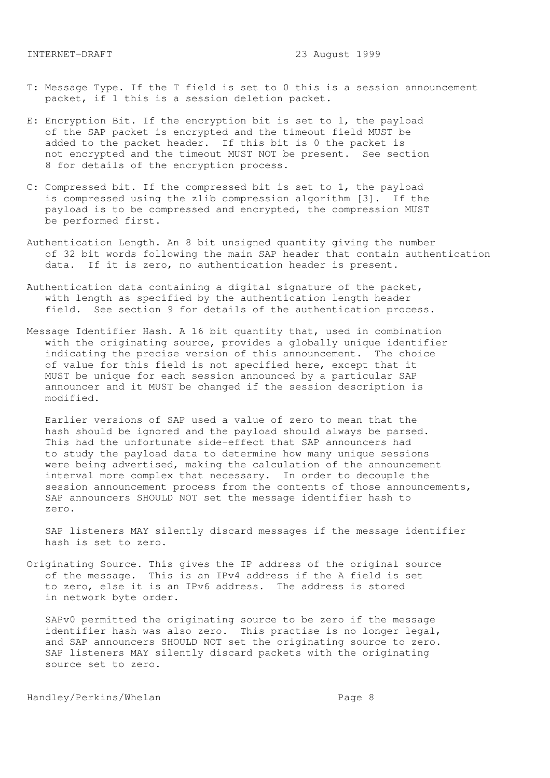- T: Message Type. If the T field is set to 0 this is a session announcement packet, if 1 this is a session deletion packet.
- E: Encryption Bit. If the encryption bit is set to 1, the payload of the SAP packet is encrypted and the timeout field MUST be added to the packet header. If this bit is 0 the packet is not encrypted and the timeout MUST NOT be present. See section 8 for details of the encryption process.
- C: Compressed bit. If the compressed bit is set to 1, the payload is compressed using the zlib compression algorithm [3]. If the payload is to be compressed and encrypted, the compression MUST be performed first.
- Authentication Length. An 8 bit unsigned quantity giving the number of 32 bit words following the main SAP header that contain authentication data. If it is zero, no authentication header is present.
- Authentication data containing a digital signature of the packet, with length as specified by the authentication length header field. See section 9 for details of the authentication process.
- Message Identifier Hash. A 16 bit quantity that, used in combination with the originating source, provides a globally unique identifier indicating the precise version of this announcement. The choice of value for this field is not specified here, except that it MUST be unique for each session announced by a particular SAP announcer and it MUST be changed if the session description is modified.

 Earlier versions of SAP used a value of zero to mean that the hash should be ignored and the payload should always be parsed. This had the unfortunate side-effect that SAP announcers had to study the payload data to determine how many unique sessions were being advertised, making the calculation of the announcement interval more complex that necessary. In order to decouple the session announcement process from the contents of those announcements, SAP announcers SHOULD NOT set the message identifier hash to zero.

 SAP listeners MAY silently discard messages if the message identifier hash is set to zero.

Originating Source. This gives the IP address of the original source of the message. This is an IPv4 address if the A field is set to zero, else it is an IPv6 address. The address is stored in network byte order.

 SAPv0 permitted the originating source to be zero if the message identifier hash was also zero. This practise is no longer legal, and SAP announcers SHOULD NOT set the originating source to zero. SAP listeners MAY silently discard packets with the originating source set to zero.

Handley/Perkins/Whelan extended by Page 8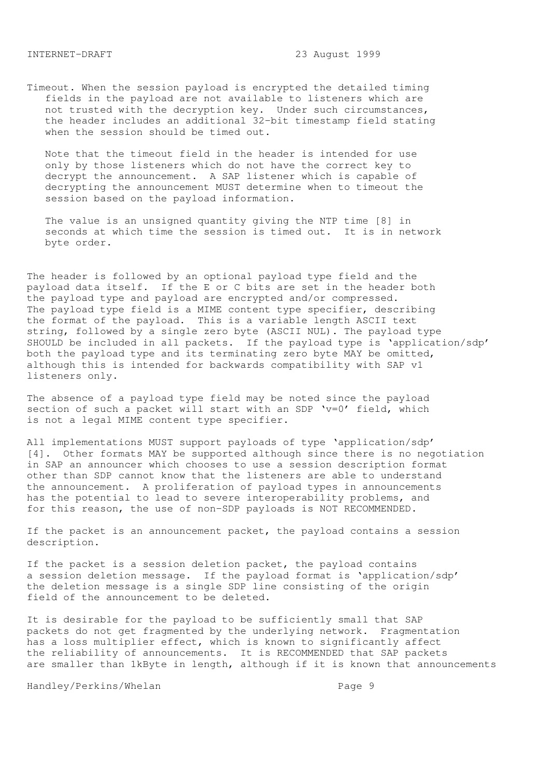Timeout. When the session payload is encrypted the detailed timing fields in the payload are not available to listeners which are not trusted with the decryption key. Under such circumstances, the header includes an additional 32-bit timestamp field stating when the session should be timed out.

 Note that the timeout field in the header is intended for use only by those listeners which do not have the correct key to decrypt the announcement. A SAP listener which is capable of decrypting the announcement MUST determine when to timeout the session based on the payload information.

 The value is an unsigned quantity giving the NTP time [8] in seconds at which time the session is timed out. It is in network byte order.

The header is followed by an optional payload type field and the payload data itself. If the E or C bits are set in the header both the payload type and payload are encrypted and/or compressed. The payload type field is a MIME content type specifier, describing the format of the payload. This is a variable length ASCII text string, followed by a single zero byte (ASCII NUL). The payload type SHOULD be included in all packets. If the payload type is 'application/sdp' both the payload type and its terminating zero byte MAY be omitted, although this is intended for backwards compatibility with SAP v1 listeners only.

The absence of a payload type field may be noted since the payload section of such a packet will start with an SDP 'v=0' field, which is not a legal MIME content type specifier.

All implementations MUST support payloads of type 'application/sdp' [4]. Other formats MAY be supported although since there is no negotiation in SAP an announcer which chooses to use a session description format other than SDP cannot know that the listeners are able to understand the announcement. A proliferation of payload types in announcements has the potential to lead to severe interoperability problems, and for this reason, the use of non-SDP payloads is NOT RECOMMENDED.

If the packet is an announcement packet, the payload contains a session description.

If the packet is a session deletion packet, the payload contains a session deletion message. If the payload format is 'application/sdp' the deletion message is a single SDP line consisting of the origin field of the announcement to be deleted.

It is desirable for the payload to be sufficiently small that SAP packets do not get fragmented by the underlying network. Fragmentation has a loss multiplier effect, which is known to significantly affect the reliability of announcements. It is RECOMMENDED that SAP packets are smaller than 1kByte in length, although if it is known that announcements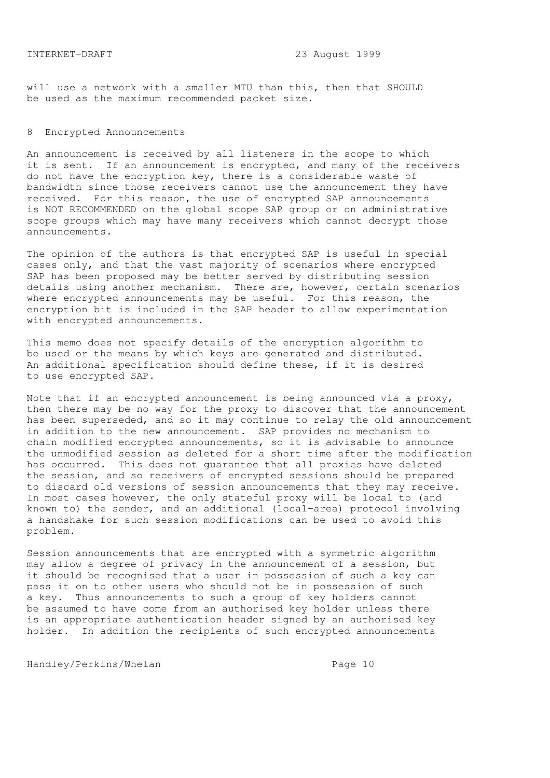will use a network with a smaller MTU than this, then that SHOULD be used as the maximum recommended packet size.

### 8 Encrypted Announcements

An announcement is received by all listeners in the scope to which it is sent. If an announcement is encrypted, and many of the receivers do not have the encryption key, there is a considerable waste of bandwidth since those receivers cannot use the announcement they have received. For this reason, the use of encrypted SAP announcements is NOT RECOMMENDED on the global scope SAP group or on administrative scope groups which may have many receivers which cannot decrypt those announcements.

The opinion of the authors is that encrypted SAP is useful in special cases only, and that the vast majority of scenarios where encrypted SAP has been proposed may be better served by distributing session details using another mechanism. There are, however, certain scenarios where encrypted announcements may be useful. For this reason, the encryption bit is included in the SAP header to allow experimentation with encrypted announcements.

This memo does not specify details of the encryption algorithm to be used or the means by which keys are generated and distributed. An additional specification should define these, if it is desired to use encrypted SAP.

Note that if an encrypted announcement is being announced via a proxy, then there may be no way for the proxy to discover that the announcement has been superseded, and so it may continue to relay the old announcement in addition to the new announcement. SAP provides no mechanism to chain modified encrypted announcements, so it is advisable to announce the unmodified session as deleted for a short time after the modification has occurred. This does not guarantee that all proxies have deleted the session, and so receivers of encrypted sessions should be prepared to discard old versions of session announcements that they may receive. In most cases however, the only stateful proxy will be local to (and known to) the sender, and an additional (local-area) protocol involving a handshake for such session modifications can be used to avoid this problem.

Session announcements that are encrypted with a symmetric algorithm may allow a degree of privacy in the announcement of a session, but it should be recognised that a user in possession of such a key can pass it on to other users who should not be in possession of such a key. Thus announcements to such a group of key holders cannot be assumed to have come from an authorised key holder unless there is an appropriate authentication header signed by an authorised key holder. In addition the recipients of such encrypted announcements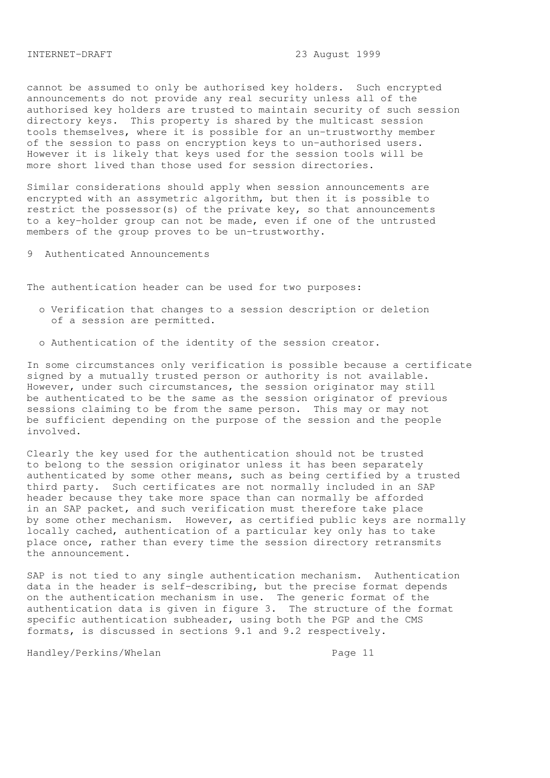cannot be assumed to only be authorised key holders. Such encrypted announcements do not provide any real security unless all of the authorised key holders are trusted to maintain security of such session directory keys. This property is shared by the multicast session tools themselves, where it is possible for an un-trustworthy member of the session to pass on encryption keys to un-authorised users. However it is likely that keys used for the session tools will be more short lived than those used for session directories.

Similar considerations should apply when session announcements are encrypted with an assymetric algorithm, but then it is possible to restrict the possessor(s) of the private key, so that announcements to a key-holder group can not be made, even if one of the untrusted members of the group proves to be un-trustworthy.

9 Authenticated Announcements

The authentication header can be used for two purposes:

- o Verification that changes to a session description or deletion of a session are permitted.
- o Authentication of the identity of the session creator.

In some circumstances only verification is possible because a certificate signed by a mutually trusted person or authority is not available. However, under such circumstances, the session originator may still be authenticated to be the same as the session originator of previous sessions claiming to be from the same person. This may or may not be sufficient depending on the purpose of the session and the people involved.

Clearly the key used for the authentication should not be trusted to belong to the session originator unless it has been separately authenticated by some other means, such as being certified by a trusted third party. Such certificates are not normally included in an SAP header because they take more space than can normally be afforded in an SAP packet, and such verification must therefore take place by some other mechanism. However, as certified public keys are normally locally cached, authentication of a particular key only has to take place once, rather than every time the session directory retransmits the announcement.

SAP is not tied to any single authentication mechanism. Authentication data in the header is self-describing, but the precise format depends on the authentication mechanism in use. The generic format of the authentication data is given in figure 3. The structure of the format specific authentication subheader, using both the PGP and the CMS formats, is discussed in sections 9.1 and 9.2 respectively.

Handley/Perkins/Whelan extended to the Page 11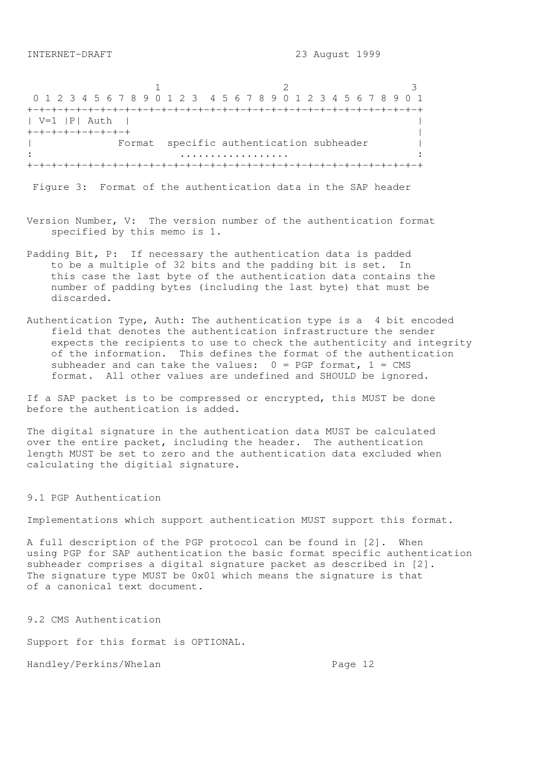1 2 3 0 1 2 3 4 5 6 7 8 9 0 1 2 3 4 5 6 7 8 9 0 1 2 3 4 5 6 7 8 9 0 1 +-+-+-+-+-+-+-+-+-+-+-+-+-+-+-+-+-+-+-+-+-+-+-+-+-+-+-+-+-+-+-+-+ | V=1 |P| Auth | | +-+-+-+-+-+-+-+-+ | Format specific authentication subheader | : .................. : +-+-+-+-+-+-+-+-+-+-+-+-+-+-+-+-+-+-+-+-+-+-+-+-+-+-+-+-+-+-+-+-+

Figure 3: Format of the authentication data in the SAP header

- Version Number, V: The version number of the authentication format specified by this memo is 1.
- Padding Bit, P: If necessary the authentication data is padded to be a multiple of 32 bits and the padding bit is set. In this case the last byte of the authentication data contains the number of padding bytes (including the last byte) that must be discarded.
- Authentication Type, Auth: The authentication type is a 4 bit encoded field that denotes the authentication infrastructure the sender expects the recipients to use to check the authenticity and integrity of the information. This defines the format of the authentication subheader and can take the values:  $0 = PGP$  format,  $1 = CMS$ format. All other values are undefined and SHOULD be ignored.

If a SAP packet is to be compressed or encrypted, this MUST be done before the authentication is added.

The digital signature in the authentication data MUST be calculated over the entire packet, including the header. The authentication length MUST be set to zero and the authentication data excluded when calculating the digitial signature.

9.1 PGP Authentication

Implementations which support authentication MUST support this format.

A full description of the PGP protocol can be found in [2]. When using PGP for SAP authentication the basic format specific authentication subheader comprises a digital signature packet as described in [2]. The signature type MUST be 0x01 which means the signature is that of a canonical text document.

9.2 CMS Authentication

Support for this format is OPTIONAL.

Handley/Perkins/Whelan extended the Page 12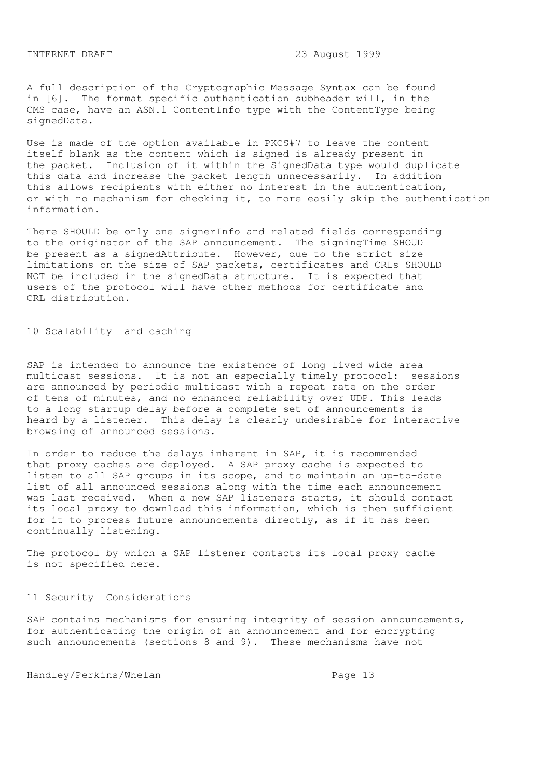A full description of the Cryptographic Message Syntax can be found in [6]. The format specific authentication subheader will, in the CMS case, have an ASN.1 ContentInfo type with the ContentType being signedData.

Use is made of the option available in PKCS#7 to leave the content itself blank as the content which is signed is already present in the packet. Inclusion of it within the SignedData type would duplicate this data and increase the packet length unnecessarily. In addition this allows recipients with either no interest in the authentication, or with no mechanism for checking it, to more easily skip the authentication information.

There SHOULD be only one signerInfo and related fields corresponding to the originator of the SAP announcement. The signingTime SHOUD be present as a signedAttribute. However, due to the strict size limitations on the size of SAP packets, certificates and CRLs SHOULD NOT be included in the signedData structure. It is expected that users of the protocol will have other methods for certificate and CRL distribution.

```
10 Scalability and caching
```
SAP is intended to announce the existence of long-lived wide-area multicast sessions. It is not an especially timely protocol: sessions are announced by periodic multicast with a repeat rate on the order of tens of minutes, and no enhanced reliability over UDP. This leads to a long startup delay before a complete set of announcements is heard by a listener. This delay is clearly undesirable for interactive browsing of announced sessions.

In order to reduce the delays inherent in SAP, it is recommended that proxy caches are deployed. A SAP proxy cache is expected to listen to all SAP groups in its scope, and to maintain an up-to-date list of all announced sessions along with the time each announcement was last received. When a new SAP listeners starts, it should contact its local proxy to download this information, which is then sufficient for it to process future announcements directly, as if it has been continually listening.

The protocol by which a SAP listener contacts its local proxy cache is not specified here.

# 11 Security Considerations

SAP contains mechanisms for ensuring integrity of session announcements, for authenticating the origin of an announcement and for encrypting such announcements (sections 8 and 9). These mechanisms have not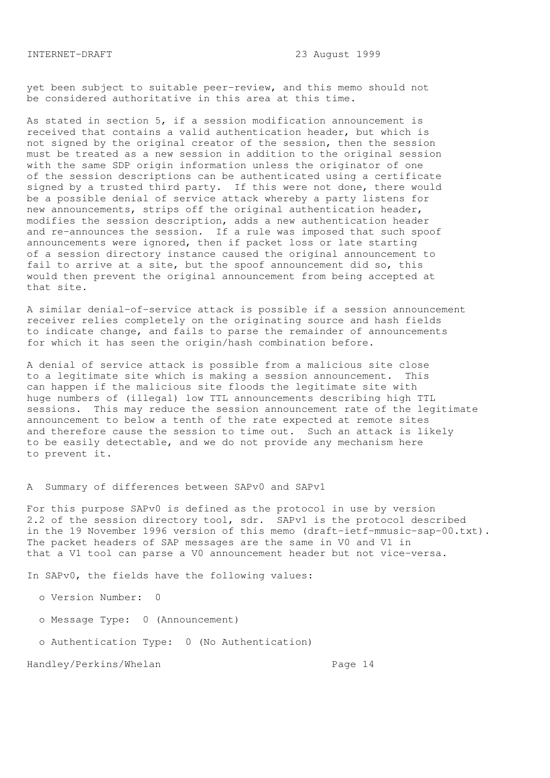yet been subject to suitable peer-review, and this memo should not be considered authoritative in this area at this time.

As stated in section 5, if a session modification announcement is received that contains a valid authentication header, but which is not signed by the original creator of the session, then the session must be treated as a new session in addition to the original session with the same SDP origin information unless the originator of one of the session descriptions can be authenticated using a certificate signed by a trusted third party. If this were not done, there would be a possible denial of service attack whereby a party listens for new announcements, strips off the original authentication header, modifies the session description, adds a new authentication header and re-announces the session. If a rule was imposed that such spoof announcements were ignored, then if packet loss or late starting of a session directory instance caused the original announcement to fail to arrive at a site, but the spoof announcement did so, this would then prevent the original announcement from being accepted at that site.

A similar denial-of-service attack is possible if a session announcement receiver relies completely on the originating source and hash fields to indicate change, and fails to parse the remainder of announcements for which it has seen the origin/hash combination before.

A denial of service attack is possible from a malicious site close to a legitimate site which is making a session announcement. This can happen if the malicious site floods the legitimate site with huge numbers of (illegal) low TTL announcements describing high TTL sessions. This may reduce the session announcement rate of the legitimate announcement to below a tenth of the rate expected at remote sites and therefore cause the session to time out. Such an attack is likely to be easily detectable, and we do not provide any mechanism here to prevent it.

A Summary of differences between SAPv0 and SAPv1

For this purpose SAPv0 is defined as the protocol in use by version 2.2 of the session directory tool, sdr. SAPv1 is the protocol described in the 19 November 1996 version of this memo (draft-ietf-mmusic-sap-00.txt). The packet headers of SAP messages are the same in V0 and V1 in that a V1 tool can parse a V0 announcement header but not vice-versa.

In SAPv0, the fields have the following values:

o Version Number: 0

- o Message Type: 0 (Announcement)
- o Authentication Type: 0 (No Authentication)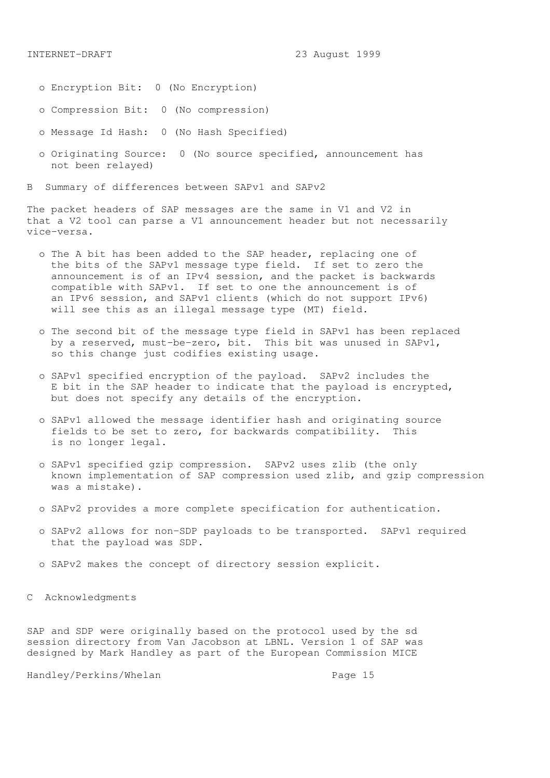- o Encryption Bit: 0 (No Encryption)
- o Compression Bit: 0 (No compression)
- o Message Id Hash: 0 (No Hash Specified)
- o Originating Source: 0 (No source specified, announcement has not been relayed)

B Summary of differences between SAPv1 and SAPv2

The packet headers of SAP messages are the same in V1 and V2 in that a V2 tool can parse a V1 announcement header but not necessarily vice-versa.

- o The A bit has been added to the SAP header, replacing one of the bits of the SAPv1 message type field. If set to zero the announcement is of an IPv4 session, and the packet is backwards compatible with SAPv1. If set to one the announcement is of an IPv6 session, and SAPv1 clients (which do not support IPv6) will see this as an illegal message type (MT) field.
- o The second bit of the message type field in SAPv1 has been replaced by a reserved, must-be-zero, bit. This bit was unused in SAPv1, so this change just codifies existing usage.
- o SAPv1 specified encryption of the payload. SAPv2 includes the E bit in the SAP header to indicate that the payload is encrypted, but does not specify any details of the encryption.
- o SAPv1 allowed the message identifier hash and originating source fields to be set to zero, for backwards compatibility. This is no longer legal.
- o SAPv1 specified gzip compression. SAPv2 uses zlib (the only known implementation of SAP compression used zlib, and gzip compression was a mistake).
- o SAPv2 provides a more complete specification for authentication.
- o SAPv2 allows for non-SDP payloads to be transported. SAPv1 required that the payload was SDP.
- o SAPv2 makes the concept of directory session explicit.
- C Acknowledgments

SAP and SDP were originally based on the protocol used by the sd session directory from Van Jacobson at LBNL. Version 1 of SAP was designed by Mark Handley as part of the European Commission MICE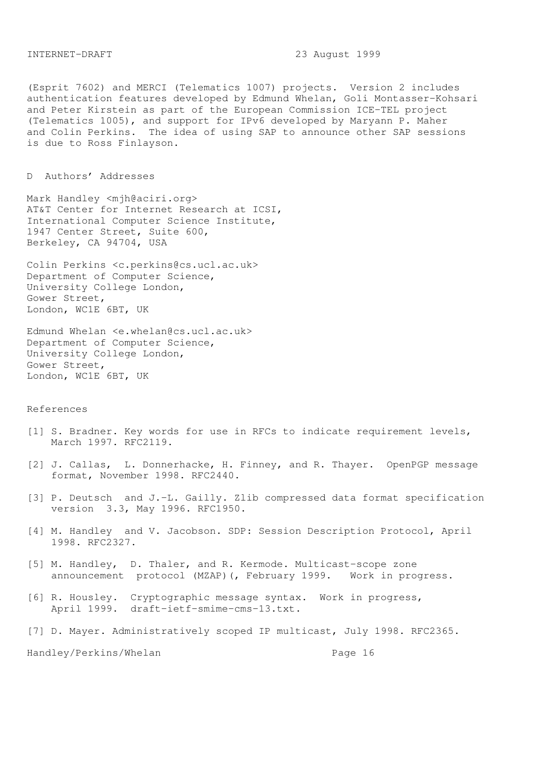(Esprit 7602) and MERCI (Telematics 1007) projects. Version 2 includes authentication features developed by Edmund Whelan, Goli Montasser-Kohsari and Peter Kirstein as part of the European Commission ICE-TEL project (Telematics 1005), and support for IPv6 developed by Maryann P. Maher and Colin Perkins. The idea of using SAP to announce other SAP sessions is due to Ross Finlayson.

## D Authors' Addresses

Mark Handley <mjh@aciri.org> AT&T Center for Internet Research at ICSI, International Computer Science Institute, 1947 Center Street, Suite 600, Berkeley, CA 94704, USA

Colin Perkins <c.perkins@cs.ucl.ac.uk> Department of Computer Science, University College London, Gower Street, London, WC1E 6BT, UK

Edmund Whelan <e.whelan@cs.ucl.ac.uk> Department of Computer Science, University College London, Gower Street, London, WC1E 6BT, UK

#### References

- [1] S. Bradner. Key words for use in RFCs to indicate requirement levels, March 1997. RFC2119.
- [2] J. Callas, L. Donnerhacke, H. Finney, and R. Thayer. OpenPGP message format, November 1998. RFC2440.
- [3] P. Deutsch and J.-L. Gailly. Zlib compressed data format specification version 3.3, May 1996. RFC1950.
- [4] M. Handley and V. Jacobson. SDP: Session Description Protocol, April 1998. RFC2327.
- [5] M. Handley, D. Thaler, and R. Kermode. Multicast-scope zone announcement protocol (MZAP)(, February 1999. Work in progress.
- [6] R. Housley. Cryptographic message syntax. Work in progress, April 1999. draft-ietf-smime-cms-13.txt.
- [7] D. Mayer. Administratively scoped IP multicast, July 1998. RFC2365.

Handley/Perkins/Whelan extended to the Page 16